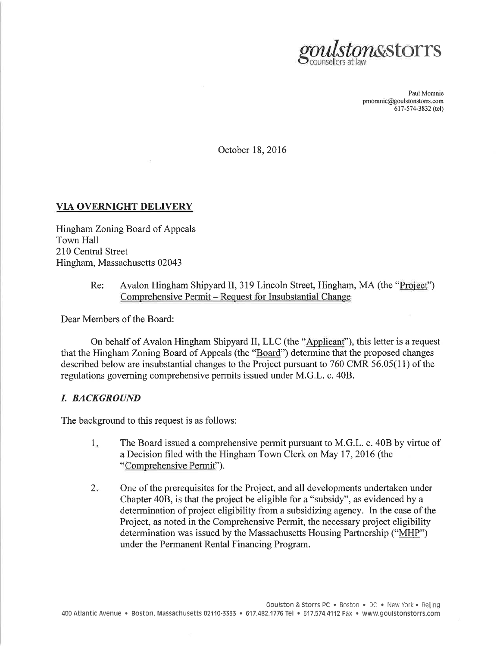

Paul Momnie pmomnie@goulstonstors. com 617-574-3832 (tel)

October 18,2016

## VIA OVERNIGHT DELIVERY

Hingham Zoning Board of Appeals Town Hall 210 Central Street Hingham, Massachusetts 02043

#### Avalon Hingham Shipyard II, 319 Lincoln Street, Hingham, MA (the "Project") Comprehensive Permit - Request for Insubstantial Change Re:

Dear Members of the Board:

On behalf of Avalon Hingham Shipyard II, LLC (the "Applicant"), this letter is a request that the Hingham Zoning Board of Appeals (the "Board") determine that the proposed changes described below are insubstantial changes to the Project pursuant to 760 CMR 56.05(11) of the regulations governing comprehensive permits issued under M.G.L. c. 40B.

### I. BACKGROUND

The background to this request is as follows:

- The Board issued a comprehensive permit pursuant to M.G.L. c. 408 by virtue of a Decision filed with the Hingham Town Clerk on May 17,2016 (the "Comprehensive Permit"). 1
- One of the prerequisites for the Project, and all developments undertaken under Chapter 408, is that the project be eligible for a "subsidy", as evidenced by a determination of project eligibility from a subsidizing agency. In the case of the Project, as noted in the Comprehensive Permit, the necessary project eligibility determination was issued by the Massachusetts Housing Partnership ("MHP") under the Permanent Rental Financing Program.  $2.$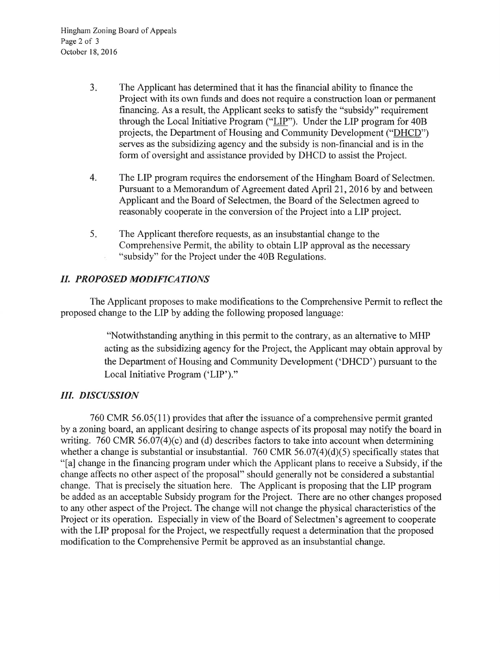- The Applicant has determined that it has the financial ability to finance the Project with its own funds and does not require a construction loan or permanent financing. As a result, the Applicant seeks to satisfy the "subsidy" requirement through the Local Initiative Program ("LIP"). Under the LIP program for 408 projects, the Department of Housing and Community Development ("DHCD") serves as the subsidizing agency and the subsidy is non-financial and is in the form of oversight and assistance provided by DHCD to assist the Project.  $3.$
- 4. The LIP program requires the endorsement of the Hingham Board of Selectmen. Pursuant to a Memorandum of Agreement dated April 21, 2016 by and between Applicant and the Board of Selectmen, the Board of the Selectmen agreed to reasonably cooperate in the conversion of the Project into a LIP project.
- The Applicant therefore requests, as an insubstantial change to the Comprehensive Permit, the ability to obtain LIP approval as the necessary "subsidy" for the Project under the 40B Regulations. 5

# II. PROPOSED MODIFICATIONS

The Applicant proposes to make modifications to the Comprehensive Permit to reflect the proposed change to the LIP by adding the following proposed language:

> "Notwithstanding anything in this permit to the contrary, as an altemative to MHP acting as the subsidizing agency for the Project, the Applicant may obtain approval by the Department of Housing and Community Development ('DHCD') pursuant to the Local Initiative Program ('LIP')."

# III. DISCUSSION

760 CMR 56.05(11) provides that after the issuance of a comprehensive permit granted by a zoning board, an applicant desiring to change aspects of its proposal may notify the board in writing. 760 CMR 56.07(4)(c) and (d) describes factors to take into account when determining whether a change is substantial or insubstantial. 760 CMR 56.07(4)(d)(5) specifically states that "[a] change in the financing program under which the Applicant plans to receive a Subsidy, if the change affects no other aspect of the proposal" should generally not be considered a substantial change. That is precisely the situation here. The Applicant is proposing that the LIP program be added as an acceptable Subsidy program for the Project. There are no other changes proposed to any other aspect of the Project. The change will not change the physical characteristics of the Project or its operation. Especially in view of the Board of Selectmen's agreement to cooperate with the LIP proposal for the Project, we respectfully request a determination that the proposed modification to the Comprehensive Permit be approved as an insubstantial change.